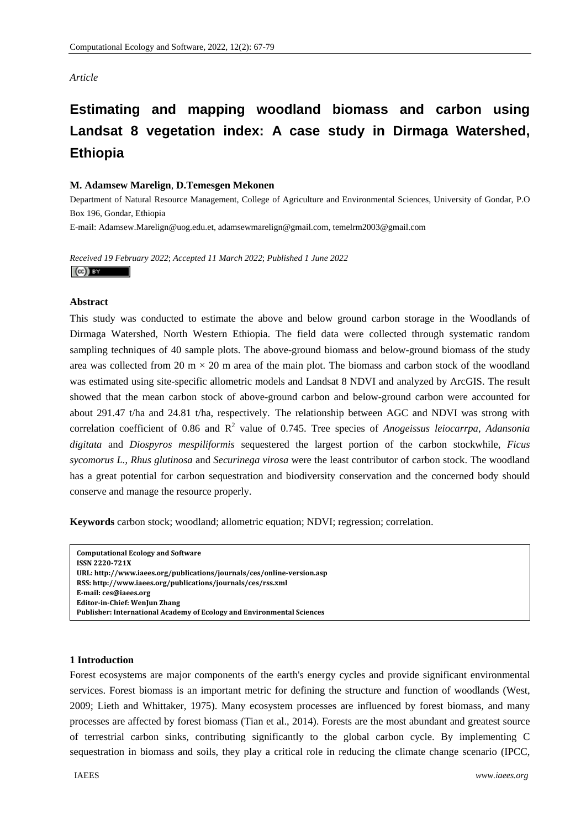# *Article*

# **Estimating and mapping woodland biomass and carbon using Landsat 8 vegetation index: A case study in Dirmaga Watershed, Ethiopia**

# **M. Adamsew Marelign**, **D.Temesgen Mekonen**

Department of Natural Resource Management, College of Agriculture and Environmental Sciences, University of Gondar, P.O Box 196, Gondar, Ethiopia

E-mail: Adamsew.Marelign@uog.edu.et, adamsewmarelign@gmail.com, temelrm2003@gmail.com

*Received 19 February 2022*; *Accepted 11 March 2022*; *Published 1 June 2022*   $(cc)$  BY

# **Abstract**

This study was conducted to estimate the above and below ground carbon storage in the Woodlands of Dirmaga Watershed, North Western Ethiopia. The field data were collected through systematic random sampling techniques of 40 sample plots. The above-ground biomass and below-ground biomass of the study area was collected from 20 m  $\times$  20 m area of the main plot. The biomass and carbon stock of the woodland was estimated using site-specific allometric models and Landsat 8 NDVI and analyzed by ArcGIS. The result showed that the mean carbon stock of above-ground carbon and below-ground carbon were accounted for about 291.47 t/ha and 24.81 t/ha, respectively. The relationship between AGC and NDVI was strong with correlation coefficient of 0.86 and  $R^2$  value of 0.745. Tree species of *Anogeissus leiocarrpa*, *Adansonia digitata* and *Diospyros mespiliformis* sequestered the largest portion of the carbon stockwhile, *Ficus sycomorus L.*, *Rhus glutinosa* and *Securinega virosa* were the least contributor of carbon stock. The woodland has a great potential for carbon sequestration and biodiversity conservation and the concerned body should conserve and manage the resource properly.

**Keywords** carbon stock; woodland; allometric equation; NDVI; regression; correlation.

```
Computational Ecology and Software
ISSN 2220721X
URL: http://www.iaees.org/publications/journals/ces/onlineversion.asp
RSS: http://www.iaees.org/publications/journals/ces/rss.xml
Email: ces@iaees.org
EditorinChief: WenJun Zhang
Publisher: International Academy of Ecology and Environmental Sciences
```
# **1 Introduction**

Forest ecosystems are major components of the earth's energy cycles and provide significant environmental services. Forest biomass is an important metric for defining the structure and function of woodlands (West, 2009; Lieth and Whittaker, 1975). Many ecosystem processes are influenced by forest biomass, and many processes are affected by forest biomass (Tian et al., 2014). Forests are the most abundant and greatest source of terrestrial carbon sinks, contributing significantly to the global carbon cycle. By implementing C sequestration in biomass and soils, they play a critical role in reducing the climate change scenario (IPCC,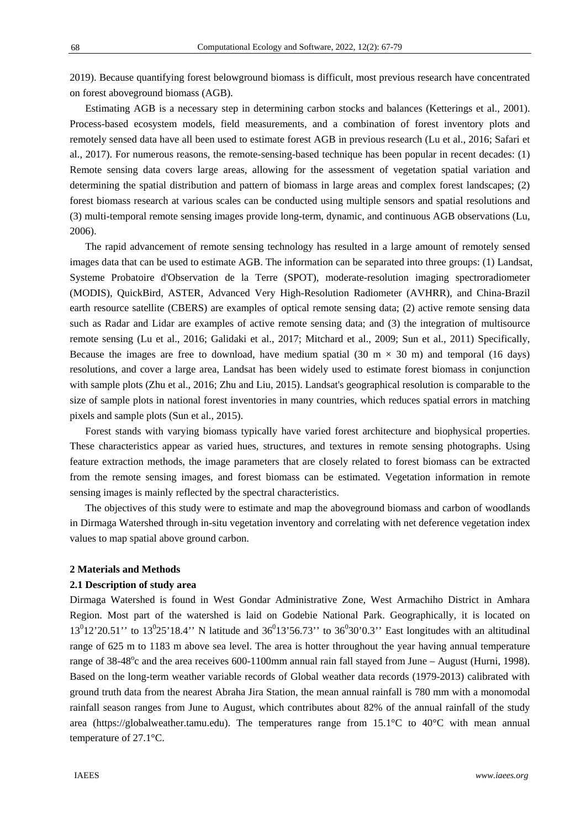2019). Because quantifying forest belowground biomass is difficult, most previous research have concentrated on forest aboveground biomass (AGB).

Estimating AGB is a necessary step in determining carbon stocks and balances (Ketterings et al., 2001). Process-based ecosystem models, field measurements, and a combination of forest inventory plots and remotely sensed data have all been used to estimate forest AGB in previous research (Lu et al., 2016; Safari et al., 2017). For numerous reasons, the remote-sensing-based technique has been popular in recent decades: (1) Remote sensing data covers large areas, allowing for the assessment of vegetation spatial variation and determining the spatial distribution and pattern of biomass in large areas and complex forest landscapes; (2) forest biomass research at various scales can be conducted using multiple sensors and spatial resolutions and (3) multi-temporal remote sensing images provide long-term, dynamic, and continuous AGB observations (Lu, 2006).

The rapid advancement of remote sensing technology has resulted in a large amount of remotely sensed images data that can be used to estimate AGB. The information can be separated into three groups: (1) Landsat, Systeme Probatoire d'Observation de la Terre (SPOT), moderate-resolution imaging spectroradiometer (MODIS), QuickBird, ASTER, Advanced Very High-Resolution Radiometer (AVHRR), and China-Brazil earth resource satellite (CBERS) are examples of optical remote sensing data; (2) active remote sensing data such as Radar and Lidar are examples of active remote sensing data; and (3) the integration of multisource remote sensing (Lu et al., 2016; Galidaki et al., 2017; Mitchard et al., 2009; Sun et al., 2011) Specifically, Because the images are free to download, have medium spatial (30 m  $\times$  30 m) and temporal (16 days) resolutions, and cover a large area, Landsat has been widely used to estimate forest biomass in conjunction with sample plots (Zhu et al., 2016; Zhu and Liu, 2015). Landsat's geographical resolution is comparable to the size of sample plots in national forest inventories in many countries, which reduces spatial errors in matching pixels and sample plots (Sun et al., 2015).

Forest stands with varying biomass typically have varied forest architecture and biophysical properties. These characteristics appear as varied hues, structures, and textures in remote sensing photographs. Using feature extraction methods, the image parameters that are closely related to forest biomass can be extracted from the remote sensing images, and forest biomass can be estimated. Vegetation information in remote sensing images is mainly reflected by the spectral characteristics.

The objectives of this study were to estimate and map the aboveground biomass and carbon of woodlands in Dirmaga Watershed through in-situ vegetation inventory and correlating with net deference vegetation index values to map spatial above ground carbon.

#### **2 Materials and Methods**

#### **2.1 Description of study area**

Dirmaga Watershed is found in West Gondar Administrative Zone, West Armachiho District in Amhara Region. Most part of the watershed is laid on Godebie National Park. Geographically, it is located on  $13^{0}12'20.51'$  to  $13^{0}25'18.4''$  N latitude and  $36^{0}13'56.73''$  to  $36^{0}30'0.3''$  East longitudes with an altitudinal range of 625 m to 1183 m above sea level. The area is hotter throughout the year having annual temperature range of  $38-48^{\circ}$ c and the area receives 600-1100mm annual rain fall stayed from June – August (Hurni, 1998). Based on the long-term weather variable records of Global weather data records (1979-2013) calibrated with ground truth data from the nearest Abraha Jira Station, the mean annual rainfall is 780 mm with a monomodal rainfall season ranges from June to August, which contributes about 82% of the annual rainfall of the study area (https://globalweather.tamu.edu). The temperatures range from 15.1°C to 40°C with mean annual temperature of 27.1°C.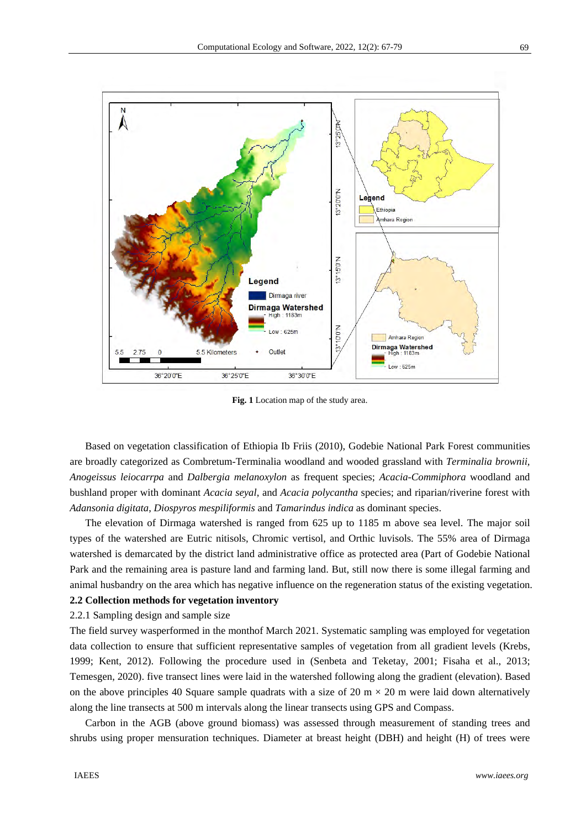

**Fig. 1** Location map of the study area.

Based on vegetation classification of Ethiopia Ib Friis (2010), Godebie National Park Forest communities are broadly categorized as Combretum-Terminalia woodland and wooded grassland with *Terminalia brownii, Anogeissus leiocarrpa* and *Dalbergia melanoxylon* as frequent species; *Acacia-Commiphora* woodland and bushland proper with dominant *Acacia seyal*, and *Acacia polycantha* species; and riparian/riverine forest with *Adansonia digitata*, *Diospyros mespiliformis* and *Tamarindus indica* as dominant species.

The elevation of Dirmaga watershed is ranged from 625 up to 1185 m above sea level. The major soil types of the watershed are Eutric nitisols, Chromic vertisol, and Orthic luvisols. The 55% area of Dirmaga watershed is demarcated by the district land administrative office as protected area (Part of Godebie National Park and the remaining area is pasture land and farming land. But, still now there is some illegal farming and animal husbandry on the area which has negative influence on the regeneration status of the existing vegetation. **2.2 Collection methods for vegetation inventory** 

2.2.1 Sampling design and sample size

The field survey wasperformed in the monthof March 2021. Systematic sampling was employed for vegetation data collection to ensure that sufficient representative samples of vegetation from all gradient levels (Krebs, 1999; Kent, 2012). Following the procedure used in (Senbeta and Teketay, 2001; Fisaha et al., 2013; Temesgen, 2020). five transect lines were laid in the watershed following along the gradient (elevation). Based on the above principles 40 Square sample quadrats with a size of 20 m  $\times$  20 m were laid down alternatively along the line transects at 500 m intervals along the linear transects using GPS and Compass.

Carbon in the AGB (above ground biomass) was assessed through measurement of standing trees and shrubs using proper mensuration techniques. Diameter at breast height (DBH) and height (H) of trees were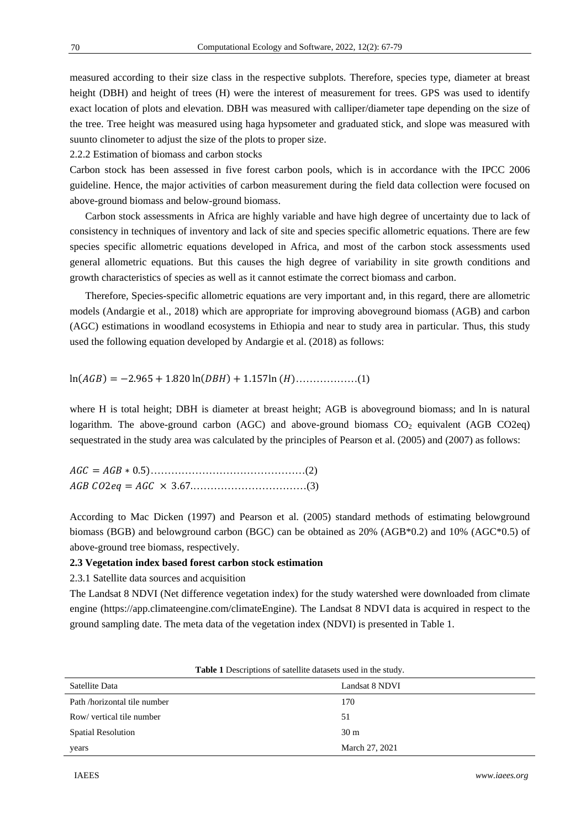measured according to their size class in the respective subplots. Therefore, species type, diameter at breast height (DBH) and height of trees (H) were the interest of measurement for trees. GPS was used to identify exact location of plots and elevation. DBH was measured with calliper/diameter tape depending on the size of the tree. Tree height was measured using haga hypsometer and graduated stick, and slope was measured with suunto clinometer to adjust the size of the plots to proper size.

2.2.2 Estimation of biomass and carbon stocks

Carbon stock has been assessed in five forest carbon pools, which is in accordance with the IPCC 2006 guideline. Hence, the major activities of carbon measurement during the field data collection were focused on above-ground biomass and below-ground biomass.

Carbon stock assessments in Africa are highly variable and have high degree of uncertainty due to lack of consistency in techniques of inventory and lack of site and species specific allometric equations. There are few species specific allometric equations developed in Africa, and most of the carbon stock assessments used general allometric equations. But this causes the high degree of variability in site growth conditions and growth characteristics of species as well as it cannot estimate the correct biomass and carbon.

Therefore, Species-specific allometric equations are very important and, in this regard, there are allometric models (Andargie et al., 2018) which are appropriate for improving aboveground biomass (AGB) and carbon (AGC) estimations in woodland ecosystems in Ethiopia and near to study area in particular. Thus, this study used the following equation developed by Andargie et al. (2018) as follows:

 $ln(AGB) = -2.965 + 1.820 \ln(DBH) + 1.157 \ln(H)$ ………………(1)

where H is total height; DBH is diameter at breast height; AGB is aboveground biomass; and ln is natural logarithm. The above-ground carbon (AGC) and above-ground biomass  $CO<sub>2</sub>$  equivalent (AGB CO2eq) sequestrated in the study area was calculated by the principles of Pearson et al. (2005) and (2007) as follows:

According to Mac Dicken (1997) and Pearson et al. (2005) standard methods of estimating belowground biomass (BGB) and belowground carbon (BGC) can be obtained as 20% (AGB\*0.2) and 10% (AGC\*0.5) of above-ground tree biomass, respectively.

## **2.3 Vegetation index based forest carbon stock estimation**

2.3.1 Satellite data sources and acquisition

The Landsat 8 NDVI (Net difference vegetation index) for the study watershed were downloaded from climate engine (https://app.climateengine.com/climateEngine). The Landsat 8 NDVI data is acquired in respect to the ground sampling date. The meta data of the vegetation index (NDVI) is presented in Table 1.

| <b>Table 1</b> Descriptions of saternite datasets used in the study. |                 |  |  |
|----------------------------------------------------------------------|-----------------|--|--|
| Satellite Data                                                       | Landsat 8 NDVI  |  |  |
| Path /horizontal tile number                                         | 170             |  |  |
| Row/ vertical tile number                                            | 51              |  |  |
| <b>Spatial Resolution</b>                                            | 30 <sub>m</sub> |  |  |
| years                                                                | March 27, 2021  |  |  |

**Table 1** Descriptions of satellite datasets used in the study.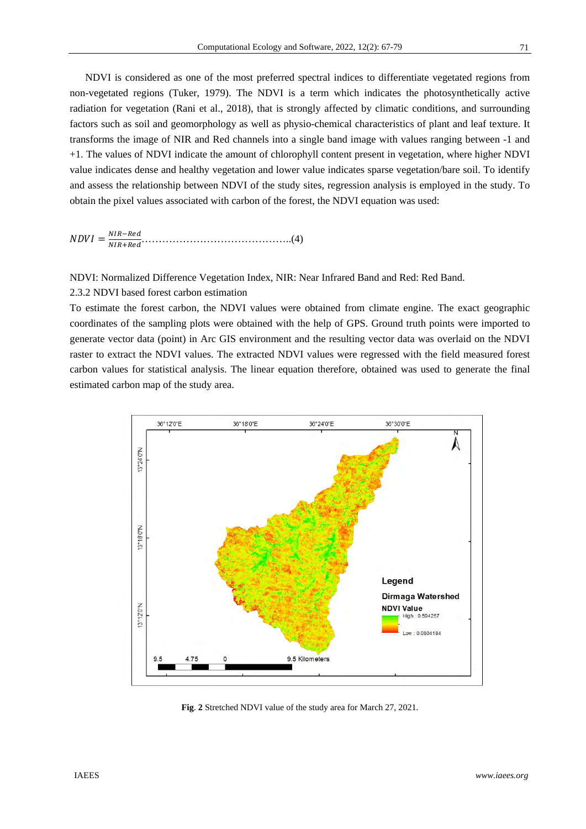NDVI is considered as one of the most preferred spectral indices to differentiate vegetated regions from non-vegetated regions (Tuker, 1979). The NDVI is a term which indicates the photosynthetically active radiation for vegetation (Rani et al., 2018), that is strongly affected by climatic conditions, and surrounding factors such as soil and geomorphology as well as physio-chemical characteristics of plant and leaf texture. It transforms the image of NIR and Red channels into a single band image with values ranging between -1 and +1. The values of NDVI indicate the amount of chlorophyll content present in vegetation, where higher NDVI value indicates dense and healthy vegetation and lower value indicates sparse vegetation/bare soil. To identify and assess the relationship between NDVI of the study sites, regression analysis is employed in the study. To obtain the pixel values associated with carbon of the forest, the NDVI equation was used:

 $NDVI = \frac{NIR-Red}{NIR+Red}.$ ேூோାோௗ……………………………………..(4)

NDVI: Normalized Difference Vegetation Index, NIR: Near Infrared Band and Red: Red Band.

2.3.2 NDVI based forest carbon estimation

To estimate the forest carbon, the NDVI values were obtained from climate engine. The exact geographic coordinates of the sampling plots were obtained with the help of GPS. Ground truth points were imported to generate vector data (point) in Arc GIS environment and the resulting vector data was overlaid on the NDVI raster to extract the NDVI values. The extracted NDVI values were regressed with the field measured forest carbon values for statistical analysis. The linear equation therefore, obtained was used to generate the final estimated carbon map of the study area.



**Fig**. **2** Stretched NDVI value of the study area for March 27, 2021.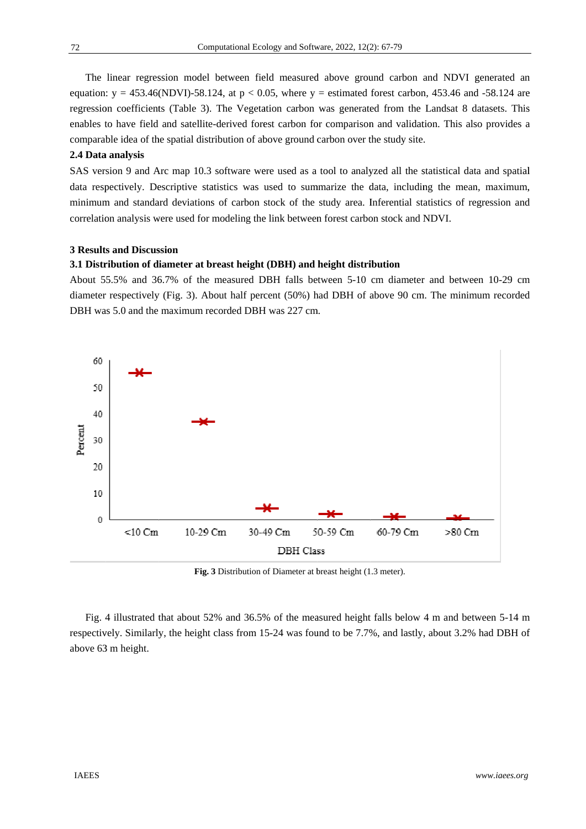The linear regression model between field measured above ground carbon and NDVI generated an equation:  $y = 453.46(NDV) - 58.124$ , at  $p < 0.05$ , where  $y =$  estimated forest carbon, 453.46 and -58.124 are regression coefficients (Table 3). The Vegetation carbon was generated from the Landsat 8 datasets. This enables to have field and satellite-derived forest carbon for comparison and validation. This also provides a comparable idea of the spatial distribution of above ground carbon over the study site.

## 2.4 Data analysis

SAS version 9 and Arc map 10.3 software were used as a tool to analyzed all the statistical data and spatial data respectively. Descriptive statistics was used to summarize the data, including the mean, maximum, minimum and standard deviations of carbon stock of the study area. Inferential statistics of regression and correlation analysis were used for modeling the link between forest carbon stock and NDVI.

#### **3 Result s and Discus ssion**

#### **3.1 Distribution of diameter at breast height (DBH) and height distribution**

About 55.5% and 36.7% of the measured DBH falls between 5-10 cm diameter and between 10-29 cm diameter respectively (Fig. 3). About half percent (50%) had DBH of above 90 cm. The minimum recorded DBH was 5.0 and the maximum recorded DBH was 227 cm.



Fig. 3 Distribution of Diameter at breast height (1.3 meter).

Fig. 4 illustrated that about 52% and 36.5% of the measured height falls below 4 m and between 5-14 m respectively. Similarly, the height class from 15-24 was found to be 7.7%, and lastly, about 3.2% had DBH of above 63 3 m height.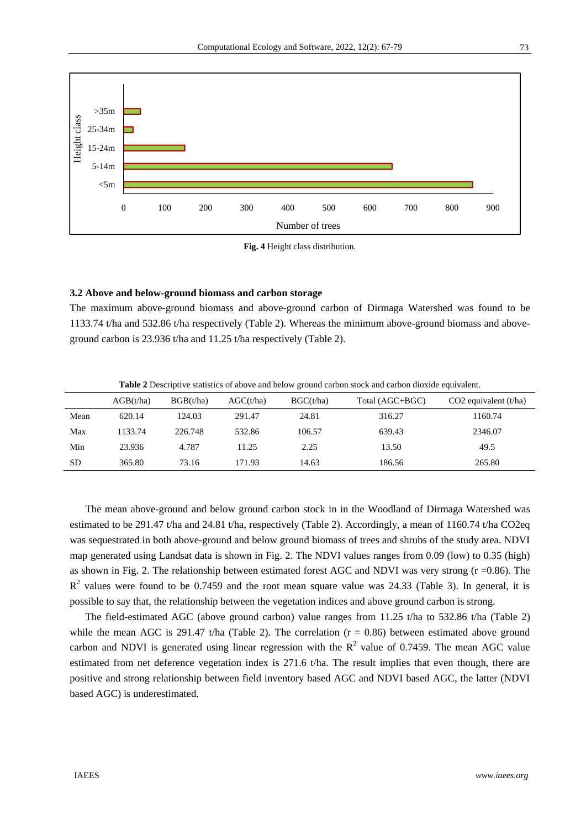

**Fig. 4** Height class distribution.

#### **3.2 Above and below-ground biomass and carbon storage**

The maximum above-ground biomass and above-ground carbon of Dirmaga Watershed was found to be 1133.74 t/ha and 532.86 t/ha respectively (Table 2). Whereas the minimum above-ground biomass and aboveground carbon is 23.936 t/ha and 11.25 t/ha respectively (Table 2).

**Table 2** Descriptive statistics of above and below ground carbon stock and carbon dioxide equivalent.

|           | AGB(t/ha) | BGB(t/ha) | AGC(t/ha) | BGC(t/ha) | Total (AGC+BGC) | $CO2$ equivalent (t/ha) |
|-----------|-----------|-----------|-----------|-----------|-----------------|-------------------------|
| Mean      | 620.14    | 124.03    | 291.47    | 24.81     | 316.27          | 1160.74                 |
| Max       | 1133.74   | 226.748   | 532.86    | 106.57    | 639.43          | 2346.07                 |
| Min       | 23.936    | 4.787     | 11.25     | 2.25      | 13.50           | 49.5                    |
| <b>SD</b> | 365.80    | 73.16     | 171.93    | 14.63     | 186.56          | 265.80                  |

The mean above-ground and below ground carbon stock in in the Woodland of Dirmaga Watershed was estimated to be 291.47 t/ha and 24.81 t/ha, respectively (Table 2). Accordingly, a mean of 1160.74 t/ha CO2eq was sequestrated in both above-ground and below ground biomass of trees and shrubs of the study area. NDVI map generated using Landsat data is shown in Fig. 2. The NDVI values ranges from 0.09 (low) to 0.35 (high) as shown in Fig. 2. The relationship between estimated forest AGC and NDVI was very strong (r = 0.86). The  $R<sup>2</sup>$  values were found to be 0.7459 and the root mean square value was 24.33 (Table 3). In general, it is possible to say that, the relationship between the vegetation indices and above ground carbon is strong.

The field-estimated AGC (above ground carbon) value ranges from 11.25 t/ha to 532.86 t/ha (Table 2) while the mean AGC is 291.47 t/ha (Table 2). The correlation  $(r = 0.86)$  between estimated above ground carbon and NDVI is generated using linear regression with the  $R^2$  value of 0.7459. The mean AGC value estimated from net deference vegetation index is 271.6 t/ha. The result implies that even though, there are positive and strong relationship between field inventory based AGC and NDVI based AGC, the latter (NDVI based AGC) is underestimated.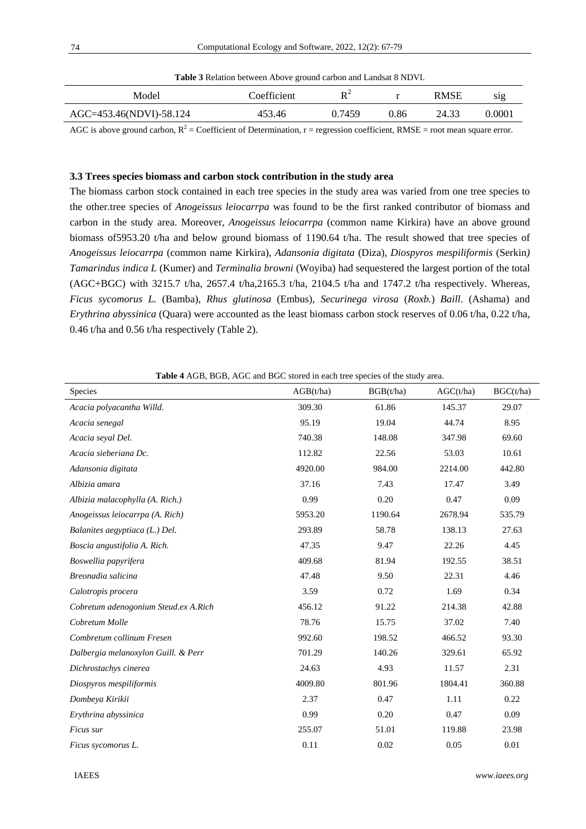| <b>Table 3</b> Relation between Above ground carbon and Landsat 8 NDVI. |             |                      |      |             |                  |
|-------------------------------------------------------------------------|-------------|----------------------|------|-------------|------------------|
| Model                                                                   | Coefficient | $\mathbf{D}^{\perp}$ |      | <b>RMSE</b> | S <sub>1</sub> g |
| AGC=453.46(NDVI)-58.124                                                 | 453.46      | 0.7459               | 0.86 | 24.33       | 0.0001           |
|                                                                         |             |                      |      |             |                  |

AGC is above ground carbon,  $R^2$  = Coefficient of Determination,  $r =$  regression coefficient, RMSE = root mean square error.

#### **3.3 Trees species biomass and carbon stock contribution in the study area**

The biomass carbon stock contained in each tree species in the study area was varied from one tree species to the other.tree species of *Anogeissus leiocarrpa* was found to be the first ranked contributor of biomass and carbon in the study area. Moreover, *Anogeissus leiocarrpa* (common name Kirkira) have an above ground biomass of5953.20 t/ha and below ground biomass of 1190.64 t/ha. The result showed that tree species of *Anogeissus leiocarrpa* (common name Kirkira), *Adansonia digitata* (Diza)*, Diospyros mespiliformis* (Serkin*) Tamarindus indica L* (Kumer) and *Terminalia browni* (Woyiba) had sequestered the largest portion of the total (AGC+BGC) with 3215.7 t/ha, 2657.4 t/ha,2165.3 t/ha, 2104.5 t/ha and 1747.2 t/ha respectively. Whereas, *Ficus sycomorus L.* (Bamba), *Rhus glutinosa* (Embus), *Securinega virosa* (*Roxb.*) *Baill*. (Ashama) and *Erythrina abyssinica* (Quara) were accounted as the least biomass carbon stock reserves of 0.06 t/ha, 0.22 t/ha, 0.46 t/ha and 0.56 t/ha respectively (Table 2).

**Table 4** AGB, BGB, AGC and BGC stored in each tree species of the study area.

| Species                              | AGB(t/ha) | BGB(t/ha) | AGC(t/ha) | BGC(t/ha) |
|--------------------------------------|-----------|-----------|-----------|-----------|
| Acacia polyacantha Willd.            | 309.30    | 61.86     | 145.37    | 29.07     |
| Acacia senegal                       | 95.19     | 19.04     | 44.74     | 8.95      |
| Acacia seyal Del.                    | 740.38    | 148.08    | 347.98    | 69.60     |
| Acacia sieberiana Dc.                | 112.82    | 22.56     | 53.03     | 10.61     |
| Adansonia digitata                   | 4920.00   | 984.00    | 2214.00   | 442.80    |
| Albizia amara                        | 37.16     | 7.43      | 17.47     | 3.49      |
| Albizia malacophylla (A. Rich.)      | 0.99      | 0.20      | 0.47      | 0.09      |
| Anogeissus leiocarrpa (A. Rich)      | 5953.20   | 1190.64   | 2678.94   | 535.79    |
| Balanites aegyptiaca (L.) Del.       | 293.89    | 58.78     | 138.13    | 27.63     |
| Boscia angustifolia A. Rich.         | 47.35     | 9.47      | 22.26     | 4.45      |
| Boswellia papyrifera                 | 409.68    | 81.94     | 192.55    | 38.51     |
| Breonadia salicina                   | 47.48     | 9.50      | 22.31     | 4.46      |
| Calotropis procera                   | 3.59      | 0.72      | 1.69      | 0.34      |
| Cobretum adenogonium Steud.ex A.Rich | 456.12    | 91.22     | 214.38    | 42.88     |
| Cobretum Molle                       | 78.76     | 15.75     | 37.02     | 7.40      |
| Combretum collinum Fresen            | 992.60    | 198.52    | 466.52    | 93.30     |
| Dalbergia melanoxylon Guill. & Perr  | 701.29    | 140.26    | 329.61    | 65.92     |
| Dichrostachys cinerea                | 24.63     | 4.93      | 11.57     | 2.31      |
| Diospyros mespiliformis              | 4009.80   | 801.96    | 1804.41   | 360.88    |
| Dombeya Kirikii                      | 2.37      | 0.47      | 1.11      | 0.22      |
| Erythrina abyssinica                 | 0.99      | 0.20      | 0.47      | 0.09      |
| Ficus sur                            | 255.07    | 51.01     | 119.88    | 23.98     |
| Ficus sycomorus L.                   | 0.11      | 0.02      | 0.05      | 0.01      |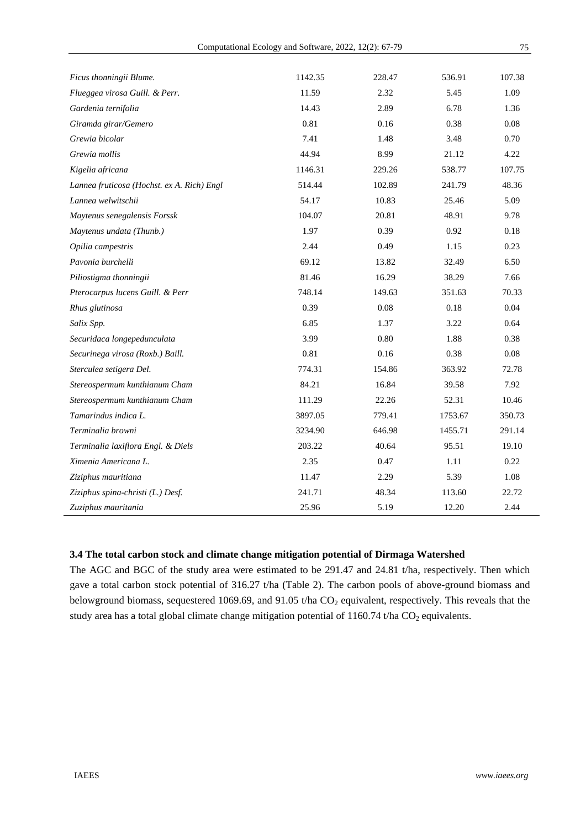| Ficus thonningii Blume.                    | 1142.35 | 228.47 | 536.91  | 107.38 |
|--------------------------------------------|---------|--------|---------|--------|
| Flueggea virosa Guill. & Perr.             | 11.59   | 2.32   | 5.45    | 1.09   |
| Gardenia ternifolia                        | 14.43   | 2.89   | 6.78    | 1.36   |
| Giramda girar/Gemero                       | 0.81    | 0.16   | 0.38    | 0.08   |
| Grewia bicolar                             | 7.41    | 1.48   | 3.48    | 0.70   |
| Grewia mollis                              | 44.94   | 8.99   | 21.12   | 4.22   |
| Kigelia africana                           | 1146.31 | 229.26 | 538.77  | 107.75 |
| Lannea fruticosa (Hochst. ex A. Rich) Engl | 514.44  | 102.89 | 241.79  | 48.36  |
| Lannea welwitschii                         | 54.17   | 10.83  | 25.46   | 5.09   |
| Maytenus senegalensis Forssk               | 104.07  | 20.81  | 48.91   | 9.78   |
| Maytenus undata (Thunb.)                   | 1.97    | 0.39   | 0.92    | 0.18   |
| Opilia campestris                          | 2.44    | 0.49   | 1.15    | 0.23   |
| Pavonia burchelli                          | 69.12   | 13.82  | 32.49   | 6.50   |
| Piliostigma thonningii                     | 81.46   | 16.29  | 38.29   | 7.66   |
| Pterocarpus lucens Guill. & Perr           | 748.14  | 149.63 | 351.63  | 70.33  |
| Rhus glutinosa                             | 0.39    | 0.08   | 0.18    | 0.04   |
| Salix Spp.                                 | 6.85    | 1.37   | 3.22    | 0.64   |
| Securidaca longepedunculata                | 3.99    | 0.80   | 1.88    | 0.38   |
| Securinega virosa (Roxb.) Baill.           | 0.81    | 0.16   | 0.38    | 0.08   |
| Sterculea setigera Del.                    | 774.31  | 154.86 | 363.92  | 72.78  |
| Stereospermum kunthianum Cham              | 84.21   | 16.84  | 39.58   | 7.92   |
| Stereospermum kunthianum Cham              | 111.29  | 22.26  | 52.31   | 10.46  |
| Tamarindus indica L.                       | 3897.05 | 779.41 | 1753.67 | 350.73 |
| Terminalia browni                          | 3234.90 | 646.98 | 1455.71 | 291.14 |
| Terminalia laxiflora Engl. & Diels         | 203.22  | 40.64  | 95.51   | 19.10  |
| Ximenia Americana L.                       | 2.35    | 0.47   | 1.11    | 0.22   |
| Ziziphus mauritiana                        | 11.47   | 2.29   | 5.39    | 1.08   |
| Ziziphus spina-christi (L.) Desf.          | 241.71  | 48.34  | 113.60  | 22.72  |
| Zuziphus mauritania                        | 25.96   | 5.19   | 12.20   | 2.44   |

# **3.4 The total carbon stock and climate change mitigation potential of Dirmaga Watershed**

The AGC and BGC of the study area were estimated to be 291.47 and 24.81 t/ha, respectively. Then which gave a total carbon stock potential of 316.27 t/ha (Table 2). The carbon pools of above-ground biomass and belowground biomass, sequestered 1069.69, and 91.05 t/ha  $CO<sub>2</sub>$  equivalent, respectively. This reveals that the study area has a total global climate change mitigation potential of  $1160.74$  t/ha  $CO<sub>2</sub>$  equivalents.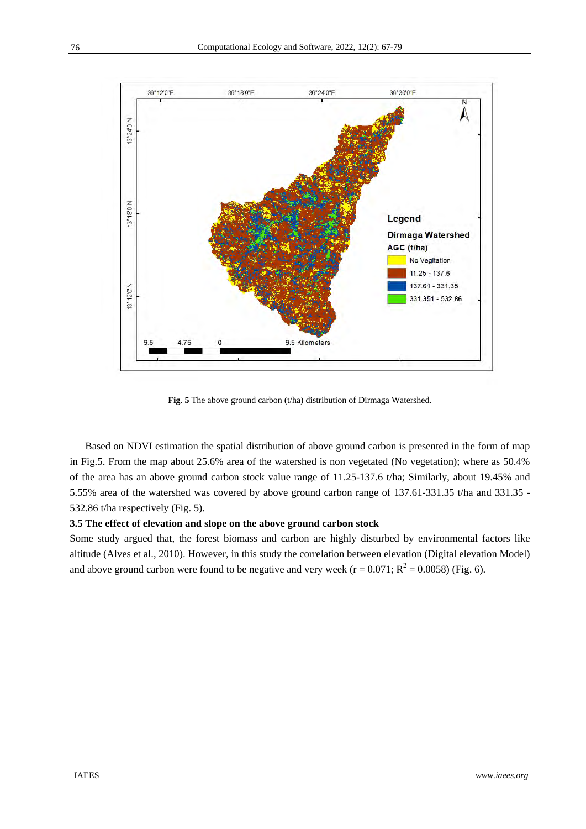

**Fig**. **5** The above ground carbon (t/ha) distribution of Dirmaga Watershed.

Based on NDVI estimation the spatial distribution of above ground carbon is presented in the form of map in Fig.5. From the map about 25.6% area of the watershed is non vegetated (No vegetation); where as 50.4% of the area has an above ground carbon stock value range of 11.25-137.6 t/ha; Similarly, about 19.45% and 5.55% area of the watershed was covered by above ground carbon range of 137.61-331.35 t/ha and 331.35 - 532.86 t/ha respectively (Fig. 5).

# **3.5 The effect of elevation and slope on the above ground carbon stock**

Some study argued that, the forest biomass and carbon are highly disturbed by environmental factors like altitude (Alves et al., 2010). However, in this study the correlation between elevation (Digital elevation Model) and above ground carbon were found to be negative and very week ( $r = 0.071$ ;  $R^2 = 0.0058$ ) (Fig. 6).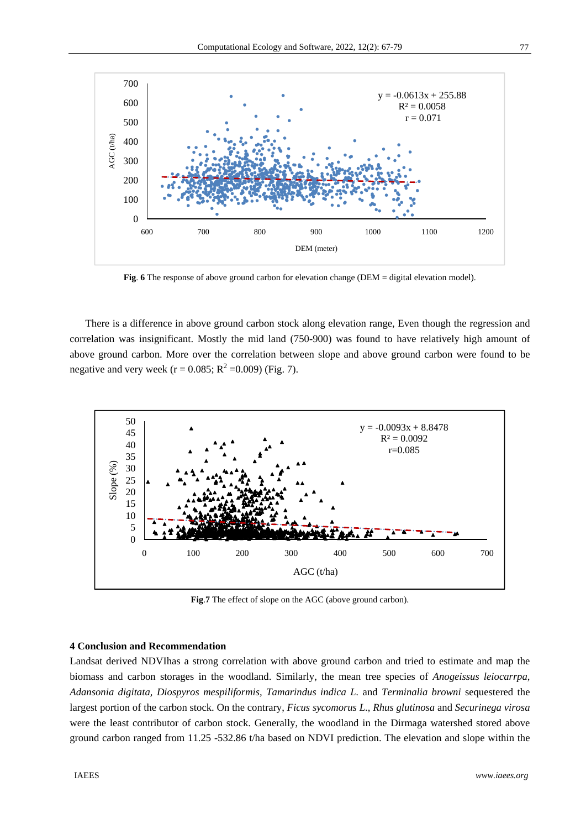

Fig. 6 The response of above ground carbon for elevation change (DEM = digital elevation model).

There is a difference in above ground carbon stock along elevation range, Even though the regression and correlation was insignificant. Mostly the mid land (750-900) was found to have relatively high amount of above ground carbon. More over the correlation between slope and above ground carbon were found to be negative and very week ( $r = 0.085$ ;  $R^2 = 0.009$ ) (Fig. 7).



**Fig**.**7** The effect of slope on the AGC (above ground carbon).

# **4 Conclusion and Recommendation**

Landsat derived NDVIhas a strong correlation with above ground carbon and tried to estimate and map the biomass and carbon storages in the woodland. Similarly, the mean tree species of *Anogeissus leiocarrpa*, *Adansonia digitata, Diospyros mespiliformis, Tamarindus indica L.* and *Terminalia browni* sequestered the largest portion of the carbon stock. On the contrary, *Ficus sycomorus L*., *Rhus glutinosa* and *Securinega virosa* were the least contributor of carbon stock. Generally, the woodland in the Dirmaga watershed stored above ground carbon ranged from 11.25 -532.86 t/ha based on NDVI prediction. The elevation and slope within the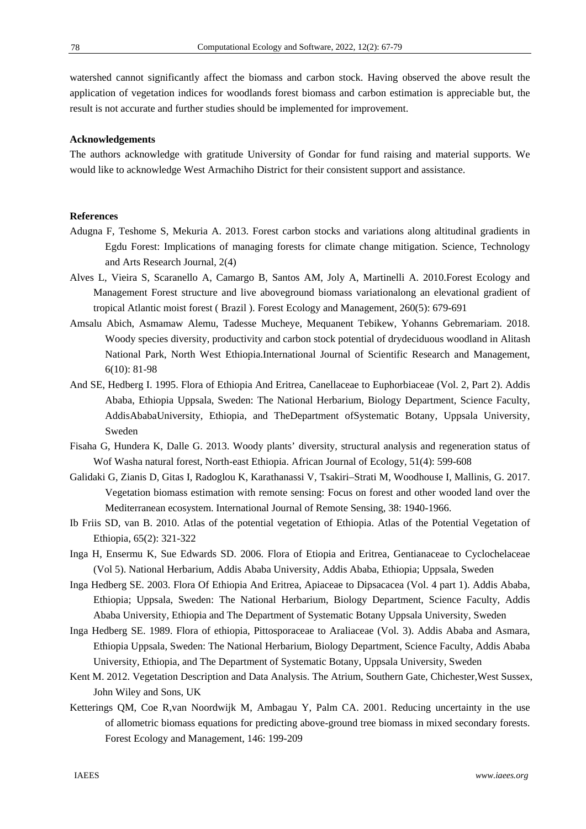watershed cannot significantly affect the biomass and carbon stock. Having observed the above result the application of vegetation indices for woodlands forest biomass and carbon estimation is appreciable but, the result is not accurate and further studies should be implemented for improvement.

# **Acknowledgements**

The authors acknowledge with gratitude University of Gondar for fund raising and material supports. We would like to acknowledge West Armachiho District for their consistent support and assistance.

## **References**

- Adugna F, Teshome S, Mekuria A. 2013. Forest carbon stocks and variations along altitudinal gradients in Egdu Forest: Implications of managing forests for climate change mitigation. Science, Technology and Arts Research Journal, 2(4)
- Alves L, Vieira S, Scaranello A, Camargo B, Santos AM, Joly A, Martinelli A. 2010.Forest Ecology and Management Forest structure and live aboveground biomass variationalong an elevational gradient of tropical Atlantic moist forest ( Brazil ). Forest Ecology and Management, 260(5): 679-691
- Amsalu Abich, Asmamaw Alemu, Tadesse Mucheye, Mequanent Tebikew, Yohanns Gebremariam. 2018. Woody species diversity, productivity and carbon stock potential of drydeciduous woodland in Alitash National Park, North West Ethiopia.International Journal of Scientific Research and Management, 6(10): 81-98
- And SE, Hedberg I. 1995. Flora of Ethiopia And Eritrea, Canellaceae to Euphorbiaceae (Vol. 2, Part 2). Addis Ababa, Ethiopia Uppsala, Sweden: The National Herbarium, Biology Department, Science Faculty, AddisAbabaUniversity, Ethiopia, and TheDepartment ofSystematic Botany, Uppsala University, Sweden
- Fisaha G, Hundera K, Dalle G. 2013. Woody plants' diversity, structural analysis and regeneration status of Wof Washa natural forest, North-east Ethiopia. African Journal of Ecology, 51(4): 599-608
- Galidaki G, Zianis D, Gitas I, Radoglou K, Karathanassi V, Tsakiri–Strati M, Woodhouse I, Mallinis, G. 2017. Vegetation biomass estimation with remote sensing: Focus on forest and other wooded land over the Mediterranean ecosystem. International Journal of Remote Sensing, 38: 1940-1966.
- Ib Friis SD, van B. 2010. Atlas of the potential vegetation of Ethiopia. Atlas of the Potential Vegetation of Ethiopia, 65(2): 321-322
- Inga H, Ensermu K, Sue Edwards SD. 2006. Flora of Etiopia and Eritrea, Gentianaceae to Cyclochelaceae (Vol 5). National Herbarium, Addis Ababa University, Addis Ababa, Ethiopia; Uppsala, Sweden
- Inga Hedberg SE. 2003. Flora Of Ethiopia And Eritrea, Apiaceae to Dipsacacea (Vol. 4 part 1). Addis Ababa, Ethiopia; Uppsala, Sweden: The National Herbarium, Biology Department, Science Faculty, Addis Ababa University, Ethiopia and The Department of Systematic Botany Uppsala University, Sweden
- Inga Hedberg SE. 1989. Flora of ethiopia, Pittosporaceae to Araliaceae (Vol. 3). Addis Ababa and Asmara, Ethiopia Uppsala, Sweden: The National Herbarium, Biology Department, Science Faculty, Addis Ababa University, Ethiopia, and The Department of Systematic Botany, Uppsala University, Sweden
- Kent M. 2012. Vegetation Description and Data Analysis. The Atrium, Southern Gate, Chichester,West Sussex, John Wiley and Sons, UK
- Ketterings QM, Coe R,van Noordwijk M, Ambagau Y, Palm CA. 2001. Reducing uncertainty in the use of allometric biomass equations for predicting above-ground tree biomass in mixed secondary forests. Forest Ecology and Management, 146: 199-209